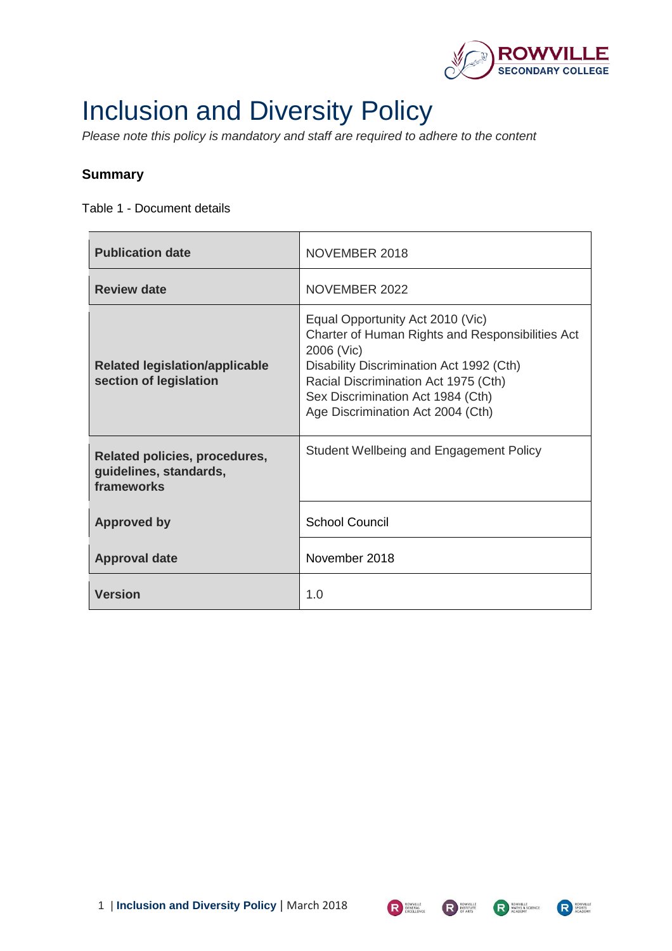

# Inclusion and Diversity Policy

*Please note this policy is mandatory and staff are required to adhere to the content* 

#### **Summary**

Table 1 - Document details

| <b>Publication date</b>                                               | NOVEMBER 2018                                                                                                                                                                                                                                                    |
|-----------------------------------------------------------------------|------------------------------------------------------------------------------------------------------------------------------------------------------------------------------------------------------------------------------------------------------------------|
| <b>Review date</b>                                                    | NOVEMBER 2022                                                                                                                                                                                                                                                    |
| <b>Related legislation/applicable</b><br>section of legislation       | Equal Opportunity Act 2010 (Vic)<br>Charter of Human Rights and Responsibilities Act<br>2006 (Vic)<br>Disability Discrimination Act 1992 (Cth)<br>Racial Discrimination Act 1975 (Cth)<br>Sex Discrimination Act 1984 (Cth)<br>Age Discrimination Act 2004 (Cth) |
| Related policies, procedures,<br>guidelines, standards,<br>frameworks | <b>Student Wellbeing and Engagement Policy</b>                                                                                                                                                                                                                   |
| <b>Approved by</b>                                                    | <b>School Council</b>                                                                                                                                                                                                                                            |
| <b>Approval date</b>                                                  | November 2018                                                                                                                                                                                                                                                    |
| <b>Version</b>                                                        | 1.0                                                                                                                                                                                                                                                              |



R SPORTS

R GENERAL EXCELLENCE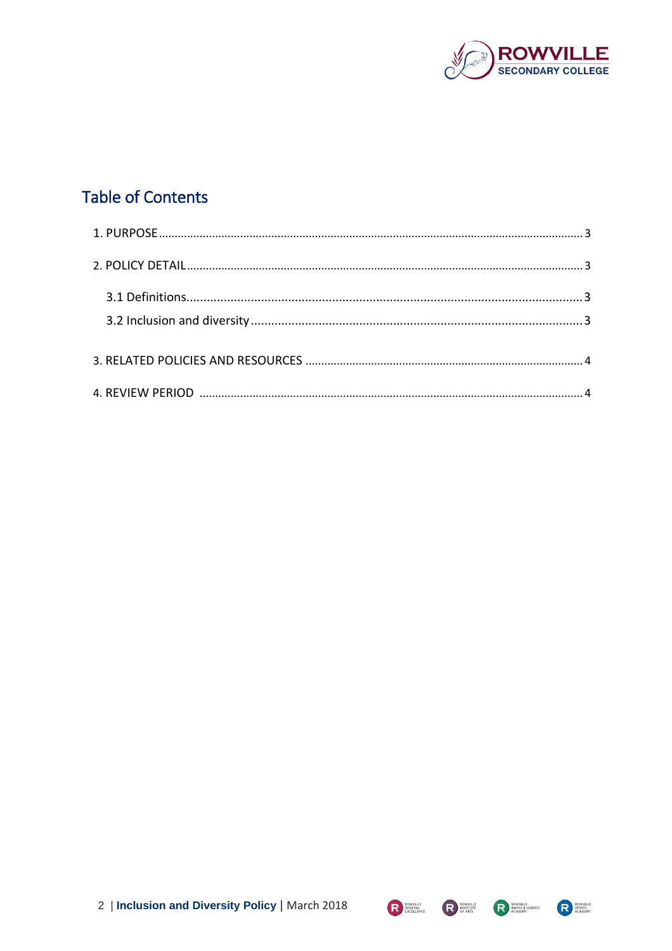

# **Table of Contents**





R ROWVILLE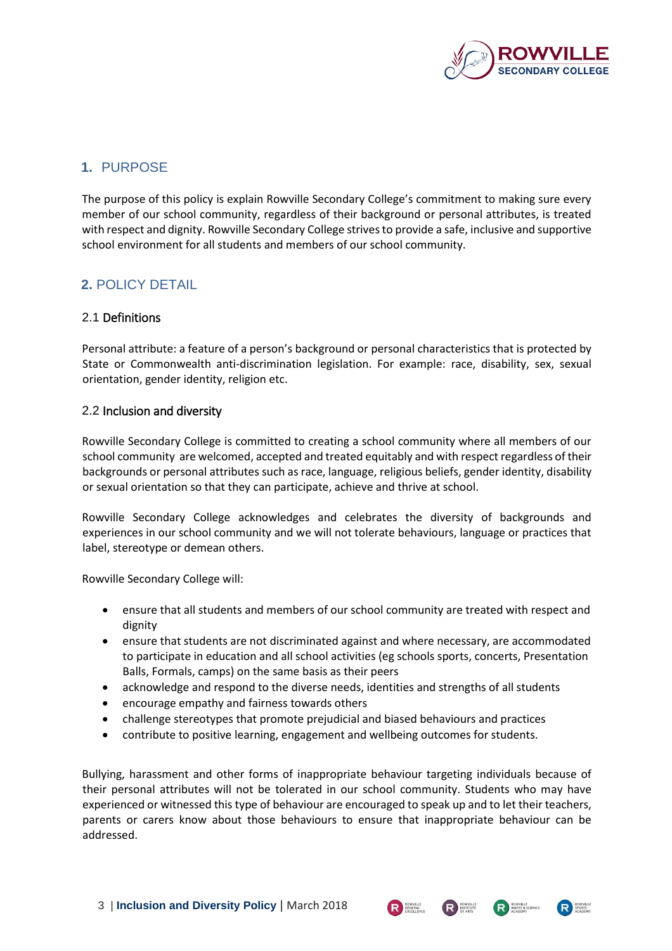

# **1.** PURPOSE

The purpose of this policy is explain Rowville Secondary College's commitment to making sure every member of our school community, regardless of their background or personal attributes, is treated with respect and dignity. Rowville Secondary College strives to provide a safe, inclusive and supportive school environment for all students and members of our school community.

# <span id="page-2-0"></span>**2.** POLICY DETAIL

#### 2.1 Definitions

Personal attribute: a feature of a person's background or personal characteristics that is protected by State or Commonwealth anti-discrimination legislation. For example: race, disability, sex, sexual orientation, gender identity, religion etc.

#### 2.2 Inclusion and diversity

Rowville Secondary College is committed to creating a school community where all members of our school community are welcomed, accepted and treated equitably and with respect regardless of their backgrounds or personal attributes such as race, language, religious beliefs, gender identity, disability or sexual orientation so that they can participate, achieve and thrive at school.

Rowville Secondary College acknowledges and celebrates the diversity of backgrounds and experiences in our school community and we will not tolerate behaviours, language or practices that label, stereotype or demean others.

Rowville Secondary College will:

- ensure that all students and members of our school community are treated with respect and dignity
- ensure that students are not discriminated against and where necessary, are accommodated to participate in education and all school activities (eg schools sports, concerts, Presentation Balls, Formals, camps) on the same basis as their peers
- acknowledge and respond to the diverse needs, identities and strengths of all students
- encourage empathy and fairness towards others
- challenge stereotypes that promote prejudicial and biased behaviours and practices
- contribute to positive learning, engagement and wellbeing outcomes for students.

Bullying, harassment and other forms of inappropriate behaviour targeting individuals because of their personal attributes will not be tolerated in our school community. Students who may have experienced or witnessed this type of behaviour are encouraged to speak up and to let their teachers, parents or carers know about those behaviours to ensure that inappropriate behaviour can be addressed.



R ROWWILLE